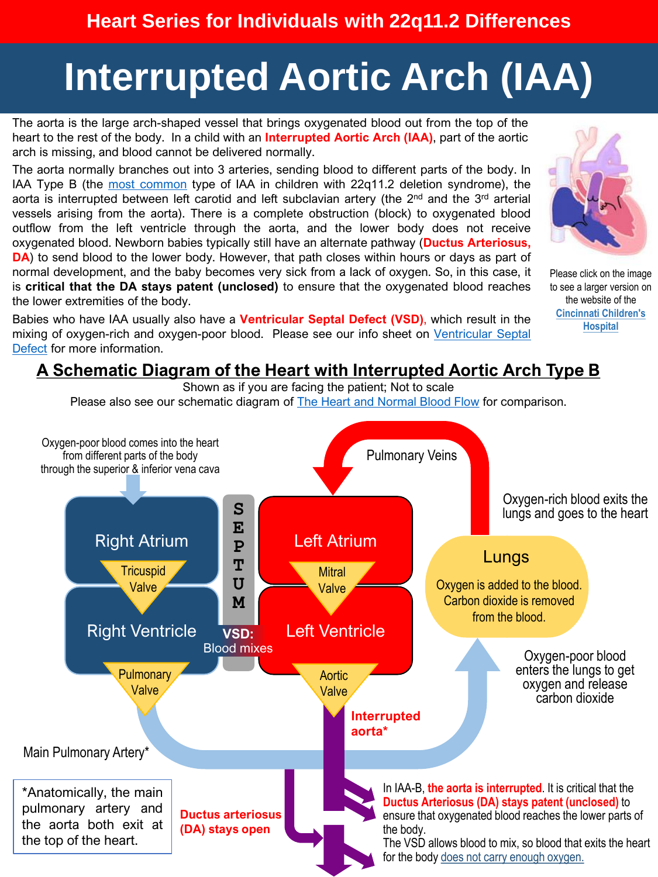# **Interrupted Aortic Arch (IAA)**

The aorta is the large arch-shaped vessel that brings oxygenated blood out from the top of the heart to the rest of the body. In a child with an **Interrupted Aortic Arch (IAA)**, part of the aortic arch is missing, and blood cannot be delivered normally.

The aorta normally branches out into 3 arteries, sending blood to different parts of the body. In IAA Type B (the most [common](https://pubmed.ncbi.nlm.nih.gov/29663641/) type of IAA in children with 22q11.2 deletion syndrome), the aorta is interrupted between left carotid and left subclavian artery (the  $2<sup>nd</sup>$  and the 3<sup>rd</sup> arterial vessels arising from the aorta). There is a complete obstruction (block) to oxygenated blood outflow from the left ventricle through the aorta, and the lower body does not receive oxygenated blood. Newborn babies typically still have an alternate pathway (**Ductus Arteriosus, DA**) to send blood to the lower body. However, that path closes within hours or days as part of normal development, and the baby becomes very sick from a lack of oxygen. So, in this case, it is **critical that the DA stays patent (unclosed)** to ensure that the oxygenated blood reaches the lower extremities of the body.

Babies who have IAA usually also have a **Ventricular Septal Defect (VSD)**, which result in the mixing of oxygen-rich and [oxygen-poor](https://22q.org/symptoms-care/health-conditions-explained/) blood. Please see our info sheet on Ventricular Septal Defect for more information.



Please click on the image to see a larger version on the website of the **[Cincinnati Children's](https://www.cincinnatichildrens.org/patients/child/encyclopedia/defects/graphicsummaries/intergs)  Hospital**

#### **A Schematic Diagram of the Heart with Interrupted Aortic Arch Type B**

Shown as if you are facing the patient; Not to scale

Please also see our schematic diagram of [The Heart and Normal Blood Flow](https://22q.org/symptoms-care/health-conditions-explained/) for comparison.